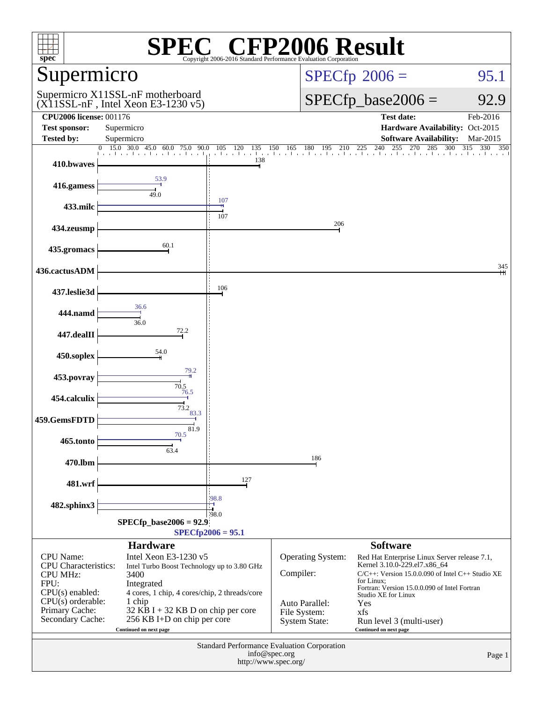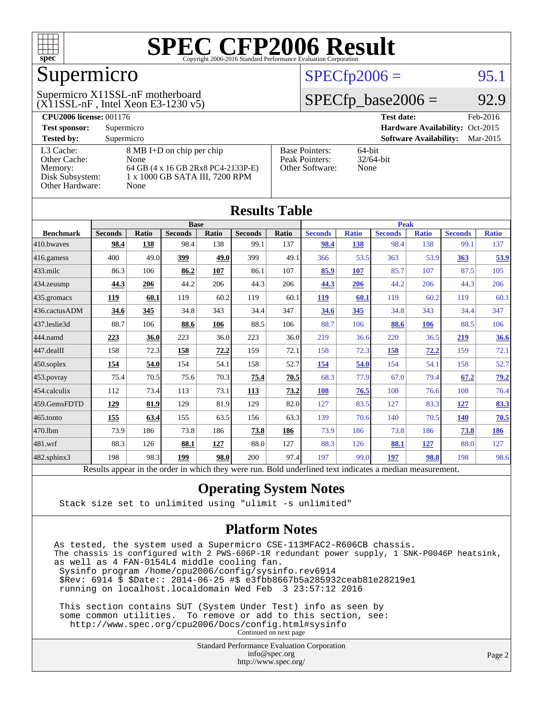

### Supermicro

#### (X11SSL-nF , Intel Xeon E3-1230 v5) Supermicro X11SSL-nF motherboard

#### $SPECTp2006 =$  95.1

#### $SPECfp\_base2006 = 92.9$

| <b>CPU2006 license: 001176</b> |                                    |                       | <b>Test date:</b><br>Feb-2016             |  |  |  |  |
|--------------------------------|------------------------------------|-----------------------|-------------------------------------------|--|--|--|--|
| <b>Test sponsor:</b>           | Supermicro                         |                       | Hardware Availability: Oct-2015           |  |  |  |  |
| <b>Tested by:</b>              | Supermicro                         |                       | <b>Software Availability:</b><br>Mar-2015 |  |  |  |  |
| L3 Cache:                      | 8 MB I+D on chip per chip          | <b>Base Pointers:</b> | $64$ -bit                                 |  |  |  |  |
| Other Cache:                   | None                               | Peak Pointers:        | $32/64$ -bit                              |  |  |  |  |
| Memory:                        | 64 GB (4 x 16 GB 2Rx8 PC4-2133P-E) | Other Software:       | None                                      |  |  |  |  |
| Disk Subsystem:                | 1 x 1000 GB SATA III, 7200 RPM     |                       |                                           |  |  |  |  |
| <b>Other Hardware:</b>         | None                               |                       |                                           |  |  |  |  |

| <b>Results Table</b> |                                                                                                          |       |                |       |                |             |                |              |                |              |                |              |
|----------------------|----------------------------------------------------------------------------------------------------------|-------|----------------|-------|----------------|-------------|----------------|--------------|----------------|--------------|----------------|--------------|
|                      | <b>Base</b>                                                                                              |       |                |       |                | <b>Peak</b> |                |              |                |              |                |              |
| <b>Benchmark</b>     | <b>Seconds</b>                                                                                           | Ratio | <b>Seconds</b> | Ratio | <b>Seconds</b> | Ratio       | <b>Seconds</b> | <b>Ratio</b> | <b>Seconds</b> | <b>Ratio</b> | <b>Seconds</b> | <b>Ratio</b> |
| 410.bwayes           | 98.4                                                                                                     | 138   | 98.4           | 138   | 99.1           | 137         | 98.4           | 138          | 98.4           | 138          | 99.1           | 137          |
| 416.gamess           | 400                                                                                                      | 49.0  | 399            | 49.0  | 399            | 49.1        | 366            | 53.5         | 363            | 53.9         | 363            | 53.9         |
| $433$ .milc          | 86.3                                                                                                     | 106   | 86.2           | 107   | 86.1           | 107         | 85.9           | 107          | 85.7           | 107          | 87.5           | 105          |
| $434$ . zeusmp       | 44.3                                                                                                     | 206   | 44.2           | 206   | 44.3           | 206         | 44.3           | 206          | 44.2           | 206          | 44.3           | 206          |
| 435.gromacs          | 119                                                                                                      | 60.1  | 119            | 60.2  | 119            | 60.1        | 119            | 60.1         | 119            | 60.2         | 119            | 60.1         |
| 436.cactusADM        | 34.6                                                                                                     | 345   | 34.8           | 343   | 34.4           | 347         | 34.6           | 345          | 34.8           | 343          | 34.4           | 347          |
| 437.leslie3d         | 88.7                                                                                                     | 106   | 88.6           | 106   | 88.5           | 106         | 88.7           | 106          | 88.6           | 106          | 88.5           | 106          |
| 444.namd             | 223                                                                                                      | 36.0  | 223            | 36.0  | 223            | 36.0        | 219            | 36.6         | 220            | 36.5         | 219            | 36.6         |
| $447$ .dealII        | 158                                                                                                      | 72.3  | 158            | 72.2  | 159            | 72.1        | 158            | 72.3         | 158            | 72.2         | 159            | 72.1         |
| $450$ .soplex        | 154                                                                                                      | 54.0  | 154            | 54.1  | 158            | 52.7        | 154            | 54.0         | 154            | 54.1         | 158            | 52.7         |
| $453$ .povray        | 75.4                                                                                                     | 70.5  | 75.6           | 70.3  | 75.4           | 70.5        | 68.3           | 77.9         | 67.0           | 79.4         | 67.2           | 79.2         |
| 454.calculix         | 112                                                                                                      | 73.4  | 113            | 73.1  | 113            | 73.2        | 108            | 76.5         | 108            | 76.6         | 108            | 76.4         |
| 459.GemsFDTD         | 129                                                                                                      | 81.9  | 129            | 81.9  | 129            | 82.0        | 127            | 83.5         | 127            | 83.3         | 127            | 83.3         |
| 465.tonto            | 155                                                                                                      | 63.4  | 155            | 63.5  | 156            | 63.3        | 139            | 70.6         | 140            | 70.5         | 140            | 70.5         |
| 470.1bm              | 73.9                                                                                                     | 186   | 73.8           | 186   | 73.8           | 186         | 73.9           | 186          | 73.8           | 186          | 73.8           | <u>186</u>   |
| 481.wrf              | 88.3                                                                                                     | 126   | 88.1           | 127   | 88.0           | 127         | 88.3           | 126          | 88.1           | 127          | 88.0           | 127          |
| $482$ .sphinx $3$    | 198                                                                                                      | 98.3  | 199            | 98.0  | 200            | 97.4        | 197            | 99.0         | 197            | 98.8         | 198            | 98.6         |
|                      | Results appear in the order in which they were run. Bold underlined text indicates a median measurement. |       |                |       |                |             |                |              |                |              |                |              |

#### **[Operating System Notes](http://www.spec.org/auto/cpu2006/Docs/result-fields.html#OperatingSystemNotes)**

Stack size set to unlimited using "ulimit -s unlimited"

#### **[Platform Notes](http://www.spec.org/auto/cpu2006/Docs/result-fields.html#PlatformNotes)**

As tested, the system used a Supermicro CSE-113MFAC2-R606CB chassis. The chassis is configured with 2 PWS-606P-1R redundant power supply, 1 SNK-P0046P heatsink, as well as 4 FAN-0154L4 middle cooling fan. Sysinfo program /home/cpu2006/config/sysinfo.rev6914 \$Rev: 6914 \$ \$Date:: 2014-06-25 #\$ e3fbb8667b5a285932ceab81e28219e1 running on localhost.localdomain Wed Feb 3 23:57:12 2016 This section contains SUT (System Under Test) info as seen by

 some common utilities. To remove or add to this section, see: <http://www.spec.org/cpu2006/Docs/config.html#sysinfo> Continued on next page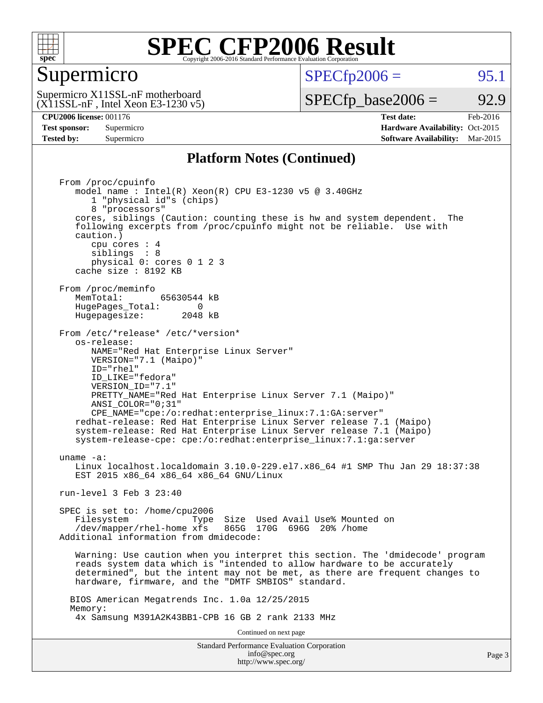

#### Supermicro

 $SPECTp2006 =$  95.1

(X11SSL-nF , Intel Xeon E3-1230 v5) Supermicro X11SSL-nF motherboard

 $SPECTp\_base2006 = 92.9$ 

**[CPU2006 license:](http://www.spec.org/auto/cpu2006/Docs/result-fields.html#CPU2006license)** 001176 **[Test date:](http://www.spec.org/auto/cpu2006/Docs/result-fields.html#Testdate)** Feb-2016 **[Test sponsor:](http://www.spec.org/auto/cpu2006/Docs/result-fields.html#Testsponsor)** Supermicro Supermicro **[Hardware Availability:](http://www.spec.org/auto/cpu2006/Docs/result-fields.html#HardwareAvailability)** Oct-2015 **[Tested by:](http://www.spec.org/auto/cpu2006/Docs/result-fields.html#Testedby)** Supermicro **Supermicro [Software Availability:](http://www.spec.org/auto/cpu2006/Docs/result-fields.html#SoftwareAvailability)** Mar-2015

#### **[Platform Notes \(Continued\)](http://www.spec.org/auto/cpu2006/Docs/result-fields.html#PlatformNotes)**

Standard Performance Evaluation Corporation [info@spec.org](mailto:info@spec.org) From /proc/cpuinfo model name : Intel(R) Xeon(R) CPU E3-1230 v5 @ 3.40GHz 1 "physical id"s (chips) 8 "processors" cores, siblings (Caution: counting these is hw and system dependent. The following excerpts from /proc/cpuinfo might not be reliable. Use with caution.) cpu cores : 4 siblings : 8 physical 0: cores 0 1 2 3 cache size : 8192 KB From /proc/meminfo<br>MemTotal: 65630544 kB HugePages\_Total: 0<br>Hugepagesize: 2048 kB Hugepagesize: From /etc/\*release\* /etc/\*version\* os-release: NAME="Red Hat Enterprise Linux Server" VERSION="7.1 (Maipo)" ID="rhel" ID\_LIKE="fedora" VERSION\_ID="7.1" PRETTY\_NAME="Red Hat Enterprise Linux Server 7.1 (Maipo)" ANSI\_COLOR="0;31" CPE\_NAME="cpe:/o:redhat:enterprise\_linux:7.1:GA:server" redhat-release: Red Hat Enterprise Linux Server release 7.1 (Maipo) system-release: Red Hat Enterprise Linux Server release 7.1 (Maipo) system-release-cpe: cpe:/o:redhat:enterprise\_linux:7.1:ga:server uname -a: Linux localhost.localdomain 3.10.0-229.el7.x86\_64 #1 SMP Thu Jan 29 18:37:38 EST 2015 x86 64 x86 64 x86 64 GNU/Linux run-level 3 Feb 3 23:40 SPEC is set to: /home/cpu2006 Filesystem Type Size Used Avail Use% Mounted on /dev/mapper/rhel-home xfs 865G 170G 696G 20% /home Additional information from dmidecode: Warning: Use caution when you interpret this section. The 'dmidecode' program reads system data which is "intended to allow hardware to be accurately determined", but the intent may not be met, as there are frequent changes to hardware, firmware, and the "DMTF SMBIOS" standard. BIOS American Megatrends Inc. 1.0a 12/25/2015 Memory: 4x Samsung M391A2K43BB1-CPB 16 GB 2 rank 2133 MHz Continued on next page

<http://www.spec.org/>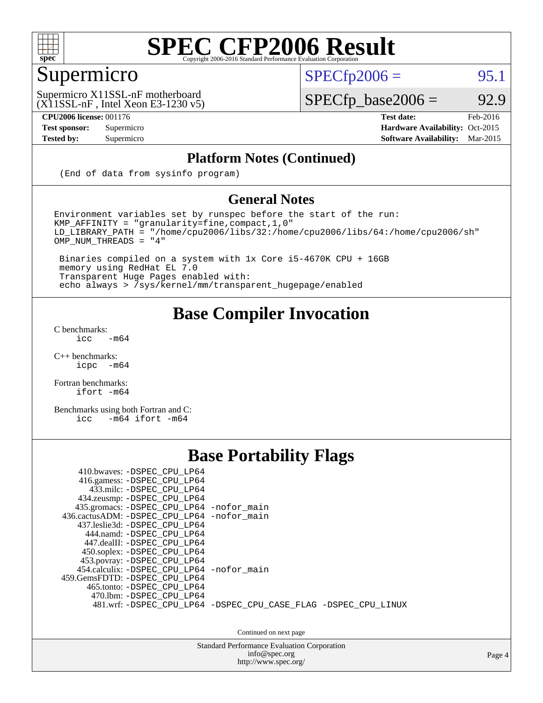

### Supermicro

 $SPECTp2006 =$  95.1

(X11SSL-nF , Intel Xeon E3-1230 v5) Supermicro X11SSL-nF motherboard

**[Tested by:](http://www.spec.org/auto/cpu2006/Docs/result-fields.html#Testedby)** Supermicro **Supermicro [Software Availability:](http://www.spec.org/auto/cpu2006/Docs/result-fields.html#SoftwareAvailability)** Mar-2015

 $SPECfp\_base2006 = 92.9$ 

**[CPU2006 license:](http://www.spec.org/auto/cpu2006/Docs/result-fields.html#CPU2006license)** 001176 **[Test date:](http://www.spec.org/auto/cpu2006/Docs/result-fields.html#Testdate)** Feb-2016 **[Test sponsor:](http://www.spec.org/auto/cpu2006/Docs/result-fields.html#Testsponsor)** Supermicro Supermicro **[Hardware Availability:](http://www.spec.org/auto/cpu2006/Docs/result-fields.html#HardwareAvailability)** Oct-2015

#### **[Platform Notes \(Continued\)](http://www.spec.org/auto/cpu2006/Docs/result-fields.html#PlatformNotes)**

(End of data from sysinfo program)

#### **[General Notes](http://www.spec.org/auto/cpu2006/Docs/result-fields.html#GeneralNotes)**

Environment variables set by runspec before the start of the run: KMP\_AFFINITY = "granularity=fine,compact,1,0" LD\_LIBRARY\_PATH = "/home/cpu2006/libs/32:/home/cpu2006/libs/64:/home/cpu2006/sh" OMP\_NUM\_THREADS = "4"

 Binaries compiled on a system with 1x Core i5-4670K CPU + 16GB memory using RedHat EL 7.0 Transparent Huge Pages enabled with: echo always > /sys/kernel/mm/transparent\_hugepage/enabled

#### **[Base Compiler Invocation](http://www.spec.org/auto/cpu2006/Docs/result-fields.html#BaseCompilerInvocation)**

[C benchmarks](http://www.spec.org/auto/cpu2006/Docs/result-fields.html#Cbenchmarks):  $\text{icc}$  -m64

 $C++$  benchmarks:<br>icpc  $-m$ -m64

[Fortran benchmarks](http://www.spec.org/auto/cpu2006/Docs/result-fields.html#Fortranbenchmarks): [ifort -m64](http://www.spec.org/cpu2006/results/res2016q1/cpu2006-20160222-39040.flags.html#user_FCbase_intel_ifort_64bit_ee9d0fb25645d0210d97eb0527dcc06e)

[Benchmarks using both Fortran and C](http://www.spec.org/auto/cpu2006/Docs/result-fields.html#BenchmarksusingbothFortranandC): [icc -m64](http://www.spec.org/cpu2006/results/res2016q1/cpu2006-20160222-39040.flags.html#user_CC_FCbase_intel_icc_64bit_0b7121f5ab7cfabee23d88897260401c) [ifort -m64](http://www.spec.org/cpu2006/results/res2016q1/cpu2006-20160222-39040.flags.html#user_CC_FCbase_intel_ifort_64bit_ee9d0fb25645d0210d97eb0527dcc06e)

#### **[Base Portability Flags](http://www.spec.org/auto/cpu2006/Docs/result-fields.html#BasePortabilityFlags)**

| 410.bwaves: -DSPEC CPU LP64<br>416.gamess: -DSPEC_CPU_LP64<br>433.milc: -DSPEC CPU LP64<br>434.zeusmp: -DSPEC_CPU_LP64<br>435.gromacs: -DSPEC_CPU_LP64 -nofor_main<br>436.cactusADM: -DSPEC CPU LP64 -nofor main<br>437.leslie3d: -DSPEC CPU LP64<br>444.namd: - DSPEC_CPU LP64<br>447.dealII: -DSPEC CPU LP64 |                                                                |
|----------------------------------------------------------------------------------------------------------------------------------------------------------------------------------------------------------------------------------------------------------------------------------------------------------------|----------------------------------------------------------------|
| 450.soplex: -DSPEC_CPU_LP64<br>453.povray: -DSPEC_CPU_LP64<br>454.calculix: - DSPEC CPU LP64 - nofor main<br>459.GemsFDTD: -DSPEC CPU LP64<br>465.tonto: - DSPEC CPU LP64<br>470.1bm: - DSPEC CPU LP64                                                                                                         | 481.wrf: -DSPEC_CPU_LP64 -DSPEC_CPU_CASE_FLAG -DSPEC_CPU_LINUX |

Continued on next page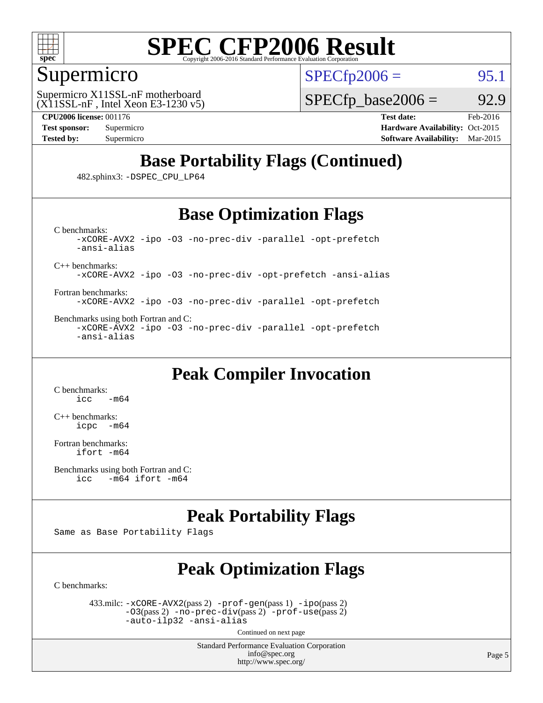

#### Supermicro

 $SPECTp2006 =$  95.1

(X11SSL-nF , Intel Xeon E3-1230 v5) Supermicro X11SSL-nF motherboard

 $SPECTp\_base2006 = 92.9$ 

**[CPU2006 license:](http://www.spec.org/auto/cpu2006/Docs/result-fields.html#CPU2006license)** 001176 **[Test date:](http://www.spec.org/auto/cpu2006/Docs/result-fields.html#Testdate)** Feb-2016

**[Test sponsor:](http://www.spec.org/auto/cpu2006/Docs/result-fields.html#Testsponsor)** Supermicro Supermicro **[Hardware Availability:](http://www.spec.org/auto/cpu2006/Docs/result-fields.html#HardwareAvailability)** Oct-2015 **[Tested by:](http://www.spec.org/auto/cpu2006/Docs/result-fields.html#Testedby)** Supermicro **Supermicro [Software Availability:](http://www.spec.org/auto/cpu2006/Docs/result-fields.html#SoftwareAvailability)** Mar-2015

#### **[Base Portability Flags \(Continued\)](http://www.spec.org/auto/cpu2006/Docs/result-fields.html#BasePortabilityFlags)**

482.sphinx3: [-DSPEC\\_CPU\\_LP64](http://www.spec.org/cpu2006/results/res2016q1/cpu2006-20160222-39040.flags.html#suite_basePORTABILITY482_sphinx3_DSPEC_CPU_LP64)

#### **[Base Optimization Flags](http://www.spec.org/auto/cpu2006/Docs/result-fields.html#BaseOptimizationFlags)**

[C benchmarks](http://www.spec.org/auto/cpu2006/Docs/result-fields.html#Cbenchmarks): [-xCORE-AVX2](http://www.spec.org/cpu2006/results/res2016q1/cpu2006-20160222-39040.flags.html#user_CCbase_f-xAVX2_5f5fc0cbe2c9f62c816d3e45806c70d7) [-ipo](http://www.spec.org/cpu2006/results/res2016q1/cpu2006-20160222-39040.flags.html#user_CCbase_f-ipo) [-O3](http://www.spec.org/cpu2006/results/res2016q1/cpu2006-20160222-39040.flags.html#user_CCbase_f-O3) [-no-prec-div](http://www.spec.org/cpu2006/results/res2016q1/cpu2006-20160222-39040.flags.html#user_CCbase_f-no-prec-div) [-parallel](http://www.spec.org/cpu2006/results/res2016q1/cpu2006-20160222-39040.flags.html#user_CCbase_f-parallel) [-opt-prefetch](http://www.spec.org/cpu2006/results/res2016q1/cpu2006-20160222-39040.flags.html#user_CCbase_f-opt-prefetch) [-ansi-alias](http://www.spec.org/cpu2006/results/res2016q1/cpu2006-20160222-39040.flags.html#user_CCbase_f-ansi-alias)

[C++ benchmarks:](http://www.spec.org/auto/cpu2006/Docs/result-fields.html#CXXbenchmarks)

[-xCORE-AVX2](http://www.spec.org/cpu2006/results/res2016q1/cpu2006-20160222-39040.flags.html#user_CXXbase_f-xAVX2_5f5fc0cbe2c9f62c816d3e45806c70d7) [-ipo](http://www.spec.org/cpu2006/results/res2016q1/cpu2006-20160222-39040.flags.html#user_CXXbase_f-ipo) [-O3](http://www.spec.org/cpu2006/results/res2016q1/cpu2006-20160222-39040.flags.html#user_CXXbase_f-O3) [-no-prec-div](http://www.spec.org/cpu2006/results/res2016q1/cpu2006-20160222-39040.flags.html#user_CXXbase_f-no-prec-div) [-opt-prefetch](http://www.spec.org/cpu2006/results/res2016q1/cpu2006-20160222-39040.flags.html#user_CXXbase_f-opt-prefetch) [-ansi-alias](http://www.spec.org/cpu2006/results/res2016q1/cpu2006-20160222-39040.flags.html#user_CXXbase_f-ansi-alias)

[Fortran benchmarks](http://www.spec.org/auto/cpu2006/Docs/result-fields.html#Fortranbenchmarks): [-xCORE-AVX2](http://www.spec.org/cpu2006/results/res2016q1/cpu2006-20160222-39040.flags.html#user_FCbase_f-xAVX2_5f5fc0cbe2c9f62c816d3e45806c70d7) [-ipo](http://www.spec.org/cpu2006/results/res2016q1/cpu2006-20160222-39040.flags.html#user_FCbase_f-ipo) [-O3](http://www.spec.org/cpu2006/results/res2016q1/cpu2006-20160222-39040.flags.html#user_FCbase_f-O3) [-no-prec-div](http://www.spec.org/cpu2006/results/res2016q1/cpu2006-20160222-39040.flags.html#user_FCbase_f-no-prec-div) [-parallel](http://www.spec.org/cpu2006/results/res2016q1/cpu2006-20160222-39040.flags.html#user_FCbase_f-parallel) [-opt-prefetch](http://www.spec.org/cpu2006/results/res2016q1/cpu2006-20160222-39040.flags.html#user_FCbase_f-opt-prefetch)

[Benchmarks using both Fortran and C](http://www.spec.org/auto/cpu2006/Docs/result-fields.html#BenchmarksusingbothFortranandC): [-xCORE-AVX2](http://www.spec.org/cpu2006/results/res2016q1/cpu2006-20160222-39040.flags.html#user_CC_FCbase_f-xAVX2_5f5fc0cbe2c9f62c816d3e45806c70d7) [-ipo](http://www.spec.org/cpu2006/results/res2016q1/cpu2006-20160222-39040.flags.html#user_CC_FCbase_f-ipo) [-O3](http://www.spec.org/cpu2006/results/res2016q1/cpu2006-20160222-39040.flags.html#user_CC_FCbase_f-O3) [-no-prec-div](http://www.spec.org/cpu2006/results/res2016q1/cpu2006-20160222-39040.flags.html#user_CC_FCbase_f-no-prec-div) [-parallel](http://www.spec.org/cpu2006/results/res2016q1/cpu2006-20160222-39040.flags.html#user_CC_FCbase_f-parallel) [-opt-prefetch](http://www.spec.org/cpu2006/results/res2016q1/cpu2006-20160222-39040.flags.html#user_CC_FCbase_f-opt-prefetch) [-ansi-alias](http://www.spec.org/cpu2006/results/res2016q1/cpu2006-20160222-39040.flags.html#user_CC_FCbase_f-ansi-alias)

#### **[Peak Compiler Invocation](http://www.spec.org/auto/cpu2006/Docs/result-fields.html#PeakCompilerInvocation)**

[C benchmarks](http://www.spec.org/auto/cpu2006/Docs/result-fields.html#Cbenchmarks):  $-m64$ 

[C++ benchmarks:](http://www.spec.org/auto/cpu2006/Docs/result-fields.html#CXXbenchmarks) [icpc -m64](http://www.spec.org/cpu2006/results/res2016q1/cpu2006-20160222-39040.flags.html#user_CXXpeak_intel_icpc_64bit_bedb90c1146cab66620883ef4f41a67e)

[Fortran benchmarks](http://www.spec.org/auto/cpu2006/Docs/result-fields.html#Fortranbenchmarks): [ifort -m64](http://www.spec.org/cpu2006/results/res2016q1/cpu2006-20160222-39040.flags.html#user_FCpeak_intel_ifort_64bit_ee9d0fb25645d0210d97eb0527dcc06e)

```
Benchmarks using both Fortran and C: 
icc -m64 ifort -m64
```
#### **[Peak Portability Flags](http://www.spec.org/auto/cpu2006/Docs/result-fields.html#PeakPortabilityFlags)**

Same as Base Portability Flags

#### **[Peak Optimization Flags](http://www.spec.org/auto/cpu2006/Docs/result-fields.html#PeakOptimizationFlags)**

[C benchmarks](http://www.spec.org/auto/cpu2006/Docs/result-fields.html#Cbenchmarks):

 433.milc: [-xCORE-AVX2](http://www.spec.org/cpu2006/results/res2016q1/cpu2006-20160222-39040.flags.html#user_peakPASS2_CFLAGSPASS2_LDFLAGS433_milc_f-xAVX2_5f5fc0cbe2c9f62c816d3e45806c70d7)(pass 2) [-prof-gen](http://www.spec.org/cpu2006/results/res2016q1/cpu2006-20160222-39040.flags.html#user_peakPASS1_CFLAGSPASS1_LDFLAGS433_milc_prof_gen_e43856698f6ca7b7e442dfd80e94a8fc)(pass 1) [-ipo](http://www.spec.org/cpu2006/results/res2016q1/cpu2006-20160222-39040.flags.html#user_peakPASS2_CFLAGSPASS2_LDFLAGS433_milc_f-ipo)(pass 2) [-O3](http://www.spec.org/cpu2006/results/res2016q1/cpu2006-20160222-39040.flags.html#user_peakPASS2_CFLAGSPASS2_LDFLAGS433_milc_f-O3)(pass 2) [-no-prec-div](http://www.spec.org/cpu2006/results/res2016q1/cpu2006-20160222-39040.flags.html#user_peakPASS2_CFLAGSPASS2_LDFLAGS433_milc_f-no-prec-div)(pass 2) [-prof-use](http://www.spec.org/cpu2006/results/res2016q1/cpu2006-20160222-39040.flags.html#user_peakPASS2_CFLAGSPASS2_LDFLAGS433_milc_prof_use_bccf7792157ff70d64e32fe3e1250b55)(pass 2) [-auto-ilp32](http://www.spec.org/cpu2006/results/res2016q1/cpu2006-20160222-39040.flags.html#user_peakCOPTIMIZE433_milc_f-auto-ilp32) [-ansi-alias](http://www.spec.org/cpu2006/results/res2016q1/cpu2006-20160222-39040.flags.html#user_peakCOPTIMIZE433_milc_f-ansi-alias)

Continued on next page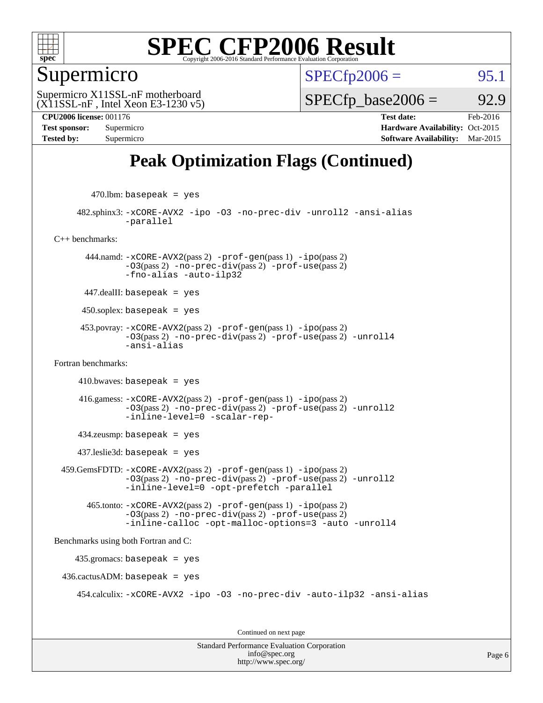

#### Supermicro

 $SPECTp2006 =$  95.1

(X11SSL-nF , Intel Xeon E3-1230 v5) Supermicro X11SSL-nF motherboard

 $SPECTp\_base2006 = 92.9$ 

**[CPU2006 license:](http://www.spec.org/auto/cpu2006/Docs/result-fields.html#CPU2006license)** 001176 **[Test date:](http://www.spec.org/auto/cpu2006/Docs/result-fields.html#Testdate)** Feb-2016 **[Test sponsor:](http://www.spec.org/auto/cpu2006/Docs/result-fields.html#Testsponsor)** Supermicro **[Hardware Availability:](http://www.spec.org/auto/cpu2006/Docs/result-fields.html#HardwareAvailability)** Oct-2015 **[Tested by:](http://www.spec.org/auto/cpu2006/Docs/result-fields.html#Testedby)** Supermicro **[Software Availability:](http://www.spec.org/auto/cpu2006/Docs/result-fields.html#SoftwareAvailability)** Mar-2015

#### **[Peak Optimization Flags \(Continued\)](http://www.spec.org/auto/cpu2006/Docs/result-fields.html#PeakOptimizationFlags)**

 $470$ .lbm: basepeak = yes

 482.sphinx3: [-xCORE-AVX2](http://www.spec.org/cpu2006/results/res2016q1/cpu2006-20160222-39040.flags.html#user_peakOPTIMIZE482_sphinx3_f-xAVX2_5f5fc0cbe2c9f62c816d3e45806c70d7) [-ipo](http://www.spec.org/cpu2006/results/res2016q1/cpu2006-20160222-39040.flags.html#user_peakOPTIMIZE482_sphinx3_f-ipo) [-O3](http://www.spec.org/cpu2006/results/res2016q1/cpu2006-20160222-39040.flags.html#user_peakOPTIMIZE482_sphinx3_f-O3) [-no-prec-div](http://www.spec.org/cpu2006/results/res2016q1/cpu2006-20160222-39040.flags.html#user_peakOPTIMIZE482_sphinx3_f-no-prec-div) [-unroll2](http://www.spec.org/cpu2006/results/res2016q1/cpu2006-20160222-39040.flags.html#user_peakCOPTIMIZE482_sphinx3_f-unroll_784dae83bebfb236979b41d2422d7ec2) [-ansi-alias](http://www.spec.org/cpu2006/results/res2016q1/cpu2006-20160222-39040.flags.html#user_peakCOPTIMIZE482_sphinx3_f-ansi-alias) [-parallel](http://www.spec.org/cpu2006/results/res2016q1/cpu2006-20160222-39040.flags.html#user_peakCOPTIMIZE482_sphinx3_f-parallel)

[C++ benchmarks:](http://www.spec.org/auto/cpu2006/Docs/result-fields.html#CXXbenchmarks)

 444.namd: [-xCORE-AVX2](http://www.spec.org/cpu2006/results/res2016q1/cpu2006-20160222-39040.flags.html#user_peakPASS2_CXXFLAGSPASS2_LDFLAGS444_namd_f-xAVX2_5f5fc0cbe2c9f62c816d3e45806c70d7)(pass 2) [-prof-gen](http://www.spec.org/cpu2006/results/res2016q1/cpu2006-20160222-39040.flags.html#user_peakPASS1_CXXFLAGSPASS1_LDFLAGS444_namd_prof_gen_e43856698f6ca7b7e442dfd80e94a8fc)(pass 1) [-ipo](http://www.spec.org/cpu2006/results/res2016q1/cpu2006-20160222-39040.flags.html#user_peakPASS2_CXXFLAGSPASS2_LDFLAGS444_namd_f-ipo)(pass 2)  $-03$ (pass 2)  $-no-prec-div(pass 2)$  $-no-prec-div(pass 2)$   $-prof-use(pass 2)$  $-prof-use(pass 2)$ [-fno-alias](http://www.spec.org/cpu2006/results/res2016q1/cpu2006-20160222-39040.flags.html#user_peakCXXOPTIMIZEOPTIMIZE444_namd_f-no-alias_694e77f6c5a51e658e82ccff53a9e63a) [-auto-ilp32](http://www.spec.org/cpu2006/results/res2016q1/cpu2006-20160222-39040.flags.html#user_peakCXXOPTIMIZE444_namd_f-auto-ilp32)

447.dealII: basepeak = yes

 $450$ .soplex: basepeak = yes

 453.povray: [-xCORE-AVX2](http://www.spec.org/cpu2006/results/res2016q1/cpu2006-20160222-39040.flags.html#user_peakPASS2_CXXFLAGSPASS2_LDFLAGS453_povray_f-xAVX2_5f5fc0cbe2c9f62c816d3e45806c70d7)(pass 2) [-prof-gen](http://www.spec.org/cpu2006/results/res2016q1/cpu2006-20160222-39040.flags.html#user_peakPASS1_CXXFLAGSPASS1_LDFLAGS453_povray_prof_gen_e43856698f6ca7b7e442dfd80e94a8fc)(pass 1) [-ipo](http://www.spec.org/cpu2006/results/res2016q1/cpu2006-20160222-39040.flags.html#user_peakPASS2_CXXFLAGSPASS2_LDFLAGS453_povray_f-ipo)(pass 2) [-O3](http://www.spec.org/cpu2006/results/res2016q1/cpu2006-20160222-39040.flags.html#user_peakPASS2_CXXFLAGSPASS2_LDFLAGS453_povray_f-O3)(pass 2) [-no-prec-div](http://www.spec.org/cpu2006/results/res2016q1/cpu2006-20160222-39040.flags.html#user_peakPASS2_CXXFLAGSPASS2_LDFLAGS453_povray_f-no-prec-div)(pass 2) [-prof-use](http://www.spec.org/cpu2006/results/res2016q1/cpu2006-20160222-39040.flags.html#user_peakPASS2_CXXFLAGSPASS2_LDFLAGS453_povray_prof_use_bccf7792157ff70d64e32fe3e1250b55)(pass 2) [-unroll4](http://www.spec.org/cpu2006/results/res2016q1/cpu2006-20160222-39040.flags.html#user_peakCXXOPTIMIZE453_povray_f-unroll_4e5e4ed65b7fd20bdcd365bec371b81f) [-ansi-alias](http://www.spec.org/cpu2006/results/res2016q1/cpu2006-20160222-39040.flags.html#user_peakCXXOPTIMIZE453_povray_f-ansi-alias)

[Fortran benchmarks](http://www.spec.org/auto/cpu2006/Docs/result-fields.html#Fortranbenchmarks):

 $410.bwaves: basepeak = yes$ 

 416.gamess: [-xCORE-AVX2](http://www.spec.org/cpu2006/results/res2016q1/cpu2006-20160222-39040.flags.html#user_peakPASS2_FFLAGSPASS2_LDFLAGS416_gamess_f-xAVX2_5f5fc0cbe2c9f62c816d3e45806c70d7)(pass 2) [-prof-gen](http://www.spec.org/cpu2006/results/res2016q1/cpu2006-20160222-39040.flags.html#user_peakPASS1_FFLAGSPASS1_LDFLAGS416_gamess_prof_gen_e43856698f6ca7b7e442dfd80e94a8fc)(pass 1) [-ipo](http://www.spec.org/cpu2006/results/res2016q1/cpu2006-20160222-39040.flags.html#user_peakPASS2_FFLAGSPASS2_LDFLAGS416_gamess_f-ipo)(pass 2) [-O3](http://www.spec.org/cpu2006/results/res2016q1/cpu2006-20160222-39040.flags.html#user_peakPASS2_FFLAGSPASS2_LDFLAGS416_gamess_f-O3)(pass 2) [-no-prec-div](http://www.spec.org/cpu2006/results/res2016q1/cpu2006-20160222-39040.flags.html#user_peakPASS2_FFLAGSPASS2_LDFLAGS416_gamess_f-no-prec-div)(pass 2) [-prof-use](http://www.spec.org/cpu2006/results/res2016q1/cpu2006-20160222-39040.flags.html#user_peakPASS2_FFLAGSPASS2_LDFLAGS416_gamess_prof_use_bccf7792157ff70d64e32fe3e1250b55)(pass 2) [-unroll2](http://www.spec.org/cpu2006/results/res2016q1/cpu2006-20160222-39040.flags.html#user_peakOPTIMIZE416_gamess_f-unroll_784dae83bebfb236979b41d2422d7ec2) [-inline-level=0](http://www.spec.org/cpu2006/results/res2016q1/cpu2006-20160222-39040.flags.html#user_peakOPTIMIZE416_gamess_f-inline-level_318d07a09274ad25e8d15dbfaa68ba50) [-scalar-rep-](http://www.spec.org/cpu2006/results/res2016q1/cpu2006-20160222-39040.flags.html#user_peakOPTIMIZE416_gamess_f-disablescalarrep_abbcad04450fb118e4809c81d83c8a1d)

434.zeusmp: basepeak = yes

437.leslie3d: basepeak = yes

 459.GemsFDTD: [-xCORE-AVX2](http://www.spec.org/cpu2006/results/res2016q1/cpu2006-20160222-39040.flags.html#user_peakPASS2_FFLAGSPASS2_LDFLAGS459_GemsFDTD_f-xAVX2_5f5fc0cbe2c9f62c816d3e45806c70d7)(pass 2) [-prof-gen](http://www.spec.org/cpu2006/results/res2016q1/cpu2006-20160222-39040.flags.html#user_peakPASS1_FFLAGSPASS1_LDFLAGS459_GemsFDTD_prof_gen_e43856698f6ca7b7e442dfd80e94a8fc)(pass 1) [-ipo](http://www.spec.org/cpu2006/results/res2016q1/cpu2006-20160222-39040.flags.html#user_peakPASS2_FFLAGSPASS2_LDFLAGS459_GemsFDTD_f-ipo)(pass 2) [-O3](http://www.spec.org/cpu2006/results/res2016q1/cpu2006-20160222-39040.flags.html#user_peakPASS2_FFLAGSPASS2_LDFLAGS459_GemsFDTD_f-O3)(pass 2) [-no-prec-div](http://www.spec.org/cpu2006/results/res2016q1/cpu2006-20160222-39040.flags.html#user_peakPASS2_FFLAGSPASS2_LDFLAGS459_GemsFDTD_f-no-prec-div)(pass 2) [-prof-use](http://www.spec.org/cpu2006/results/res2016q1/cpu2006-20160222-39040.flags.html#user_peakPASS2_FFLAGSPASS2_LDFLAGS459_GemsFDTD_prof_use_bccf7792157ff70d64e32fe3e1250b55)(pass 2) [-unroll2](http://www.spec.org/cpu2006/results/res2016q1/cpu2006-20160222-39040.flags.html#user_peakOPTIMIZE459_GemsFDTD_f-unroll_784dae83bebfb236979b41d2422d7ec2) [-inline-level=0](http://www.spec.org/cpu2006/results/res2016q1/cpu2006-20160222-39040.flags.html#user_peakOPTIMIZE459_GemsFDTD_f-inline-level_318d07a09274ad25e8d15dbfaa68ba50) [-opt-prefetch](http://www.spec.org/cpu2006/results/res2016q1/cpu2006-20160222-39040.flags.html#user_peakOPTIMIZE459_GemsFDTD_f-opt-prefetch) [-parallel](http://www.spec.org/cpu2006/results/res2016q1/cpu2006-20160222-39040.flags.html#user_peakOPTIMIZE459_GemsFDTD_f-parallel)

 465.tonto: [-xCORE-AVX2](http://www.spec.org/cpu2006/results/res2016q1/cpu2006-20160222-39040.flags.html#user_peakPASS2_FFLAGSPASS2_LDFLAGS465_tonto_f-xAVX2_5f5fc0cbe2c9f62c816d3e45806c70d7)(pass 2) [-prof-gen](http://www.spec.org/cpu2006/results/res2016q1/cpu2006-20160222-39040.flags.html#user_peakPASS1_FFLAGSPASS1_LDFLAGS465_tonto_prof_gen_e43856698f6ca7b7e442dfd80e94a8fc)(pass 1) [-ipo](http://www.spec.org/cpu2006/results/res2016q1/cpu2006-20160222-39040.flags.html#user_peakPASS2_FFLAGSPASS2_LDFLAGS465_tonto_f-ipo)(pass 2) [-O3](http://www.spec.org/cpu2006/results/res2016q1/cpu2006-20160222-39040.flags.html#user_peakPASS2_FFLAGSPASS2_LDFLAGS465_tonto_f-O3)(pass 2) [-no-prec-div](http://www.spec.org/cpu2006/results/res2016q1/cpu2006-20160222-39040.flags.html#user_peakPASS2_FFLAGSPASS2_LDFLAGS465_tonto_f-no-prec-div)(pass 2) [-prof-use](http://www.spec.org/cpu2006/results/res2016q1/cpu2006-20160222-39040.flags.html#user_peakPASS2_FFLAGSPASS2_LDFLAGS465_tonto_prof_use_bccf7792157ff70d64e32fe3e1250b55)(pass 2) [-inline-calloc](http://www.spec.org/cpu2006/results/res2016q1/cpu2006-20160222-39040.flags.html#user_peakOPTIMIZE465_tonto_f-inline-calloc) [-opt-malloc-options=3](http://www.spec.org/cpu2006/results/res2016q1/cpu2006-20160222-39040.flags.html#user_peakOPTIMIZE465_tonto_f-opt-malloc-options_13ab9b803cf986b4ee62f0a5998c2238) [-auto](http://www.spec.org/cpu2006/results/res2016q1/cpu2006-20160222-39040.flags.html#user_peakOPTIMIZE465_tonto_f-auto) [-unroll4](http://www.spec.org/cpu2006/results/res2016q1/cpu2006-20160222-39040.flags.html#user_peakOPTIMIZE465_tonto_f-unroll_4e5e4ed65b7fd20bdcd365bec371b81f)

[Benchmarks using both Fortran and C](http://www.spec.org/auto/cpu2006/Docs/result-fields.html#BenchmarksusingbothFortranandC):

435.gromacs: basepeak = yes

 $436.cactusADM: basepeak = yes$ 

454.calculix: [-xCORE-AVX2](http://www.spec.org/cpu2006/results/res2016q1/cpu2006-20160222-39040.flags.html#user_peakOPTIMIZE454_calculix_f-xAVX2_5f5fc0cbe2c9f62c816d3e45806c70d7) [-ipo](http://www.spec.org/cpu2006/results/res2016q1/cpu2006-20160222-39040.flags.html#user_peakOPTIMIZE454_calculix_f-ipo) [-O3](http://www.spec.org/cpu2006/results/res2016q1/cpu2006-20160222-39040.flags.html#user_peakOPTIMIZE454_calculix_f-O3) [-no-prec-div](http://www.spec.org/cpu2006/results/res2016q1/cpu2006-20160222-39040.flags.html#user_peakOPTIMIZE454_calculix_f-no-prec-div) [-auto-ilp32](http://www.spec.org/cpu2006/results/res2016q1/cpu2006-20160222-39040.flags.html#user_peakCOPTIMIZE454_calculix_f-auto-ilp32) [-ansi-alias](http://www.spec.org/cpu2006/results/res2016q1/cpu2006-20160222-39040.flags.html#user_peakCOPTIMIZE454_calculix_f-ansi-alias)

Continued on next page